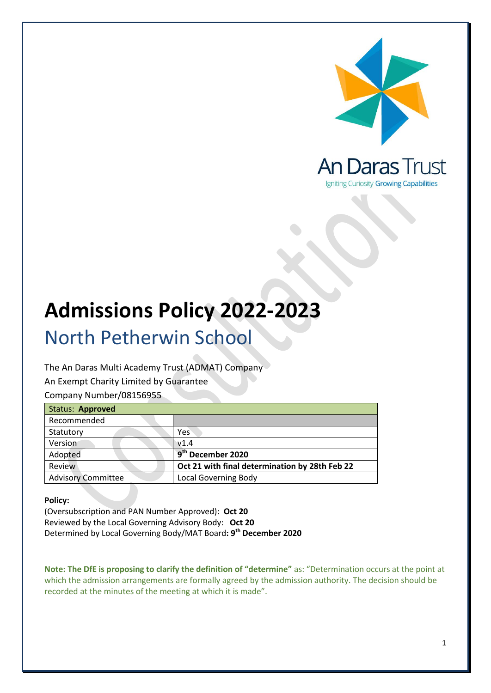

# **Admissions Policy 2022-2023**

## North Petherwin School

The An Daras Multi Academy Trust (ADMAT) Company

An Exempt Charity Limited by Guarantee

Company Number/08156955

| Status: Approved          |                                                |
|---------------------------|------------------------------------------------|
| Recommended               |                                                |
| Statutory                 | Yes                                            |
| Version                   | V1.4                                           |
| Adopted                   | 9 <sup>th</sup> December 2020                  |
| Review                    | Oct 21 with final determination by 28th Feb 22 |
| <b>Advisory Committee</b> | <b>Local Governing Body</b>                    |

#### **Policy:**

(Oversubscription and PAN Number Approved): **Oct 20** Reviewed by the Local Governing Advisory Body: **Oct 20** Determined by Local Governing Body/MAT Board**: 9 th December 2020**

**Note: The DfE is proposing to clarify the definition of "determine"** as: "Determination occurs at the point at which the admission arrangements are formally agreed by the admission authority. The decision should be recorded at the minutes of the meeting at which it is made".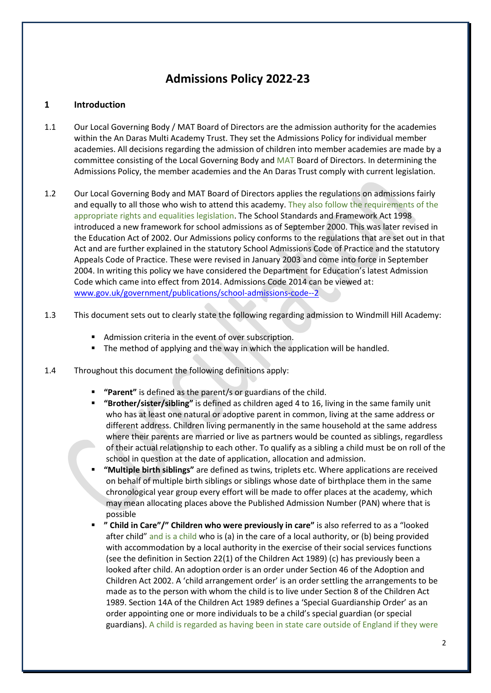### **Admissions Policy 2022-23**

#### **1 Introduction**

- 1.1 Our Local Governing Body / MAT Board of Directors are the admission authority for the academies within the An Daras Multi Academy Trust. They set the Admissions Policy for individual member academies. All decisions regarding the admission of children into member academies are made by a committee consisting of the Local Governing Body and MAT Board of Directors. In determining the Admissions Policy, the member academies and the An Daras Trust comply with current legislation.
- 1.2 Our Local Governing Body and MAT Board of Directors applies the regulations on admissions fairly and equally to all those who wish to attend this academy. They also follow the requirements of the appropriate rights and equalities legislation. The School Standards and Framework Act 1998 introduced a new framework for school admissions as of September 2000. This was later revised in the Education Act of 2002. Our Admissions policy conforms to the regulations that are set out in that Act and are further explained in the statutory School Admissions Code of Practice and the statutory Appeals Code of Practice. These were revised in January 2003 and come into force in September 2004. In writing this policy we have considered the Department for Education's latest Admission Code which came into effect from 2014. Admissions Code 2014 can be viewed at: [www.gov.uk/government/publications/school-admissions-code--2](http://www.gov.uk/government/publications/school-admissions-code--2)
- 1.3 This document sets out to clearly state the following regarding admission to Windmill Hill Academy:
	- Admission criteria in the event of over subscription.
	- The method of applying and the way in which the application will be handled.
- 1.4 Throughout this document the following definitions apply:
	- **"Parent"** is defined as the parent/s or guardians of the child.
	- **"Brother/sister/sibling"** is defined as children aged 4 to 16, living in the same family unit who has at least one natural or adoptive parent in common, living at the same address or different address. Children living permanently in the same household at the same address where their parents are married or live as partners would be counted as siblings, regardless of their actual relationship to each other. To qualify as a sibling a child must be on roll of the school in question at the date of application, allocation and admission.
	- **"Multiple birth siblings"** are defined as twins, triplets etc. Where applications are received on behalf of multiple birth siblings or siblings whose date of birthplace them in the same chronological year group every effort will be made to offer places at the academy, which may mean allocating places above the Published Admission Number (PAN) where that is possible
	- **" Child in Care"/" Children who were previously in care"** is also referred to as a "looked after child" and is a child who is (a) in the care of a local authority, or (b) being provided with accommodation by a local authority in the exercise of their social services functions (see the definition in Section 22(1) of the Children Act 1989) (c) has previously been a looked after child. An adoption order is an order under Section 46 of the Adoption and Children Act 2002. A 'child arrangement order' is an order settling the arrangements to be made as to the person with whom the child is to live under Section 8 of the Children Act 1989. Section 14A of the Children Act 1989 defines a 'Special Guardianship Order' as an order appointing one or more individuals to be a child's special guardian (or special guardians). A child is regarded as having been in state care outside of England if they were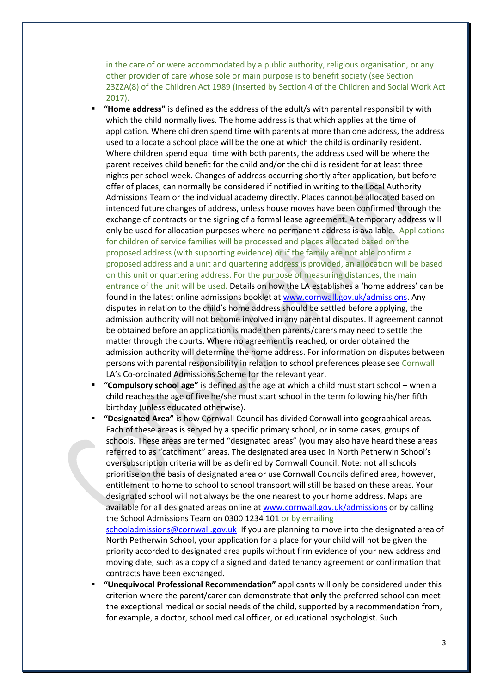in the care of or were accommodated by a public authority, religious organisation, or any other provider of care whose sole or main purpose is to benefit society (see Section 23ZZA(8) of the Children Act 1989 (Inserted by Section 4 of the Children and Social Work Act 2017).

- **"Home address"** is defined as the address of the adult/s with parental responsibility with which the child normally lives. The home address is that which applies at the time of application. Where children spend time with parents at more than one address, the address used to allocate a school place will be the one at which the child is ordinarily resident. Where children spend equal time with both parents, the address used will be where the parent receives child benefit for the child and/or the child is resident for at least three nights per school week. Changes of address occurring shortly after application, but before offer of places, can normally be considered if notified in writing to the Local Authority Admissions Team or the individual academy directly. Places cannot be allocated based on intended future changes of address, unless house moves have been confirmed through the exchange of contracts or the signing of a formal lease agreement. A temporary address will only be used for allocation purposes where no permanent address is available. Applications for children of service families will be processed and places allocated based on the proposed address (with supporting evidence) or if the family are not able confirm a proposed address and a unit and quartering address is provided, an allocation will be based on this unit or quartering address. For the purpose of measuring distances, the main entrance of the unit will be used. Details on how the LA establishes a 'home address' can be found in the latest online admissions booklet a[t www.cornwall.gov.uk/admissions.](http://www.cornwall.gov.uk/admissions) Any disputes in relation to the child's home address should be settled before applying, the admission authority will not become involved in any parental disputes. If agreement cannot be obtained before an application is made then parents/carers may need to settle the matter through the courts. Where no agreement is reached, or order obtained the admission authority will determine the home address. For information on disputes between persons with parental responsibility in relation to school preferences please see Cornwall LA's Co-ordinated Admissions Scheme for the relevant year.
- **"Compulsory school age"** is defined as the age at which a child must start school when a child reaches the age of five he/she must start school in the term following his/her fifth birthday (unless educated otherwise).
- **"Designated Area"** is how Cornwall Council has divided Cornwall into geographical areas. Each of these areas is served by a specific primary school, or in some cases, groups of schools. These areas are termed "designated areas" (you may also have heard these areas referred to as "catchment" areas. The designated area used in North Petherwin School's oversubscription criteria will be as defined by Cornwall Council. Note: not all schools prioritise on the basis of designated area or use Cornwall Councils defined area, however, entitlement to home to school to school transport will still be based on these areas. Your designated school will not always be the one nearest to your home address. Maps are available for all designated areas online at [www.cornwall.gov.uk/admissions](http://www.cornwall.gov.uk/admissions) or by calling the School Admissions Team on 0300 1234 101 or by emailing [schooladmissions@cornwall.gov.uk](mailto:schooladmissions@cornwall.gov.uk) If you are planning to move into the designated area of North Petherwin School, your application for a place for your child will not be given the priority accorded to designated area pupils without firm evidence of your new address and moving date, such as a copy of a signed and dated tenancy agreement or confirmation that contracts have been exchanged.
- **"Unequivocal Professional Recommendation"** applicants will only be considered under this criterion where the parent/carer can demonstrate that **only** the preferred school can meet the exceptional medical or social needs of the child, supported by a recommendation from, for example, a doctor, school medical officer, or educational psychologist. Such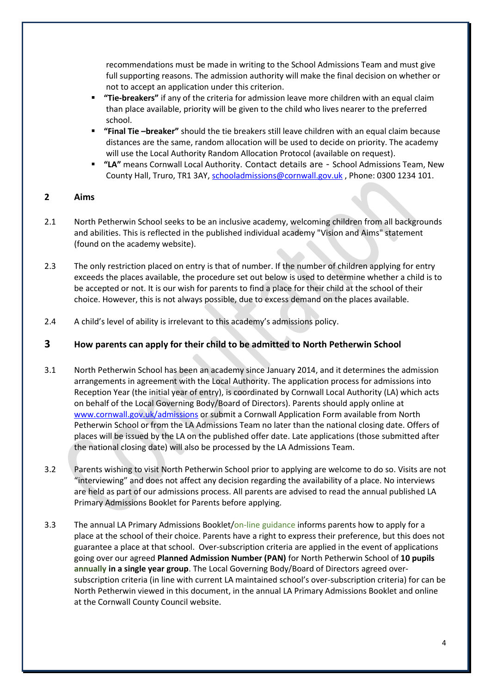recommendations must be made in writing to the School Admissions Team and must give full supporting reasons. The admission authority will make the final decision on whether or not to accept an application under this criterion.

- **"Tie-breakers"** if any of the criteria for admission leave more children with an equal claim than place available, priority will be given to the child who lives nearer to the preferred school.
- **"Final Tie –breaker"** should the tie breakers still leave children with an equal claim because distances are the same, random allocation will be used to decide on priority. The academy will use the Local Authority Random Allocation Protocol (available on request).
- **"LA"** means Cornwall Local Authority. Contact details are School Admissions Team, New County Hall, Truro, TR1 3AY, [schooladmissions@cornwall.gov.uk](mailto:schooladmissions@cornwall.gov.uk) , Phone: 0300 1234 101.

#### **2 Aims**

- 2.1 North Petherwin School seeks to be an inclusive academy, welcoming children from all backgrounds and abilities. This is reflected in the published individual academy "Vision and Aims" statement (found on the academy website).
- 2.3 The only restriction placed on entry is that of number. If the number of children applying for entry exceeds the places available, the procedure set out below is used to determine whether a child is to be accepted or not. It is our wish for parents to find a place for their child at the school of their choice. However, this is not always possible, due to excess demand on the places available.
- 2.4 A child's level of ability is irrelevant to this academy's admissions policy.

#### **3 How parents can apply for their child to be admitted to North Petherwin School**

- 3.1 North Petherwin School has been an academy since January 2014, and it determines the admission arrangements in agreement with the Local Authority. The application process for admissions into Reception Year (the initial year of entry), is coordinated by Cornwall Local Authority (LA) which acts on behalf of the Local Governing Body/Board of Directors). Parents should apply online at [www.cornwall.gov.uk/admissions](http://www.cornwall.gov.uk/admissions) or submit a Cornwall Application Form available from North Petherwin School or from the LA Admissions Team no later than the national closing date. Offers of places will be issued by the LA on the published offer date. Late applications (those submitted after the national closing date) will also be processed by the LA Admissions Team.
- 3.2 Parents wishing to visit North Petherwin School prior to applying are welcome to do so. Visits are not "interviewing" and does not affect any decision regarding the availability of a place. No interviews are held as part of our admissions process. All parents are advised to read the annual published LA Primary Admissions Booklet for Parents before applying.
- 3.3 The annual LA Primary Admissions Booklet/on-line guidance informs parents how to apply for a place at the school of their choice. Parents have a right to express their preference, but this does not guarantee a place at that school. Over-subscription criteria are applied in the event of applications going over our agreed **Planned Admission Number (PAN)** for North Petherwin School of **10 pupils annually in a single year group**. The Local Governing Body/Board of Directors agreed oversubscription criteria (in line with current LA maintained school's over-subscription criteria) for can be North Petherwin viewed in this document, in the annual LA Primary Admissions Booklet and online at the Cornwall County Council website.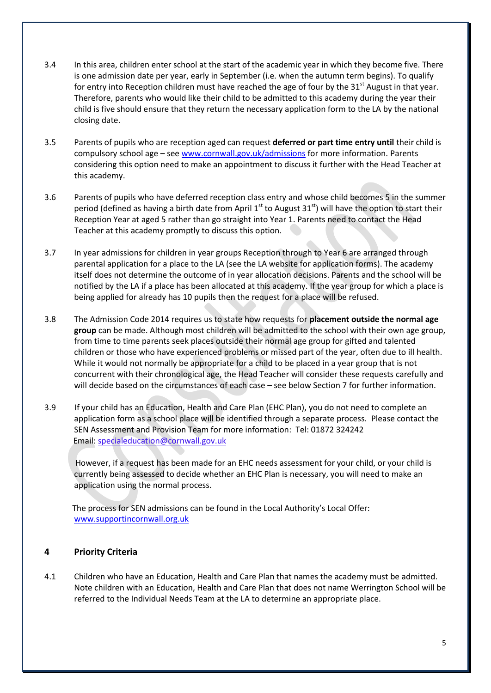- 3.4 In this area, children enter school at the start of the academic year in which they become five. There is one admission date per year, early in September (i.e. when the autumn term begins). To qualify for entry into Reception children must have reached the age of four by the  $31<sup>st</sup>$  August in that year. Therefore, parents who would like their child to be admitted to this academy during the year their child is five should ensure that they return the necessary application form to the LA by the national closing date.
- 3.5 Parents of pupils who are reception aged can request **deferred or part time entry until** their child is compulsory school age – see [www.cornwall.gov.uk/admissions](http://www.cornwall.gov.uk/admissions) for more information. Parents considering this option need to make an appointment to discuss it further with the Head Teacher at this academy.
- 3.6 Parents of pupils who have deferred reception class entry and whose child becomes 5 in the summer period (defined as having a birth date from April  $1^{st}$  to August  $31^{st}$ ) will have the option to start their Reception Year at aged 5 rather than go straight into Year 1. Parents need to contact the Head Teacher at this academy promptly to discuss this option.
- 3.7 In year admissions for children in year groups Reception through to Year 6 are arranged through parental application for a place to the LA (see the LA website for application forms). The academy itself does not determine the outcome of in year allocation decisions. Parents and the school will be notified by the LA if a place has been allocated at this academy. If the year group for which a place is being applied for already has 10 pupils then the request for a place will be refused.
- 3.8 The Admission Code 2014 requires us to state how requests for **placement outside the normal age group** can be made. Although most children will be admitted to the school with their own age group, from time to time parents seek places outside their normal age group for gifted and talented children or those who have experienced problems or missed part of the year, often due to ill health. While it would not normally be appropriate for a child to be placed in a year group that is not concurrent with their chronological age, the Head Teacher will consider these requests carefully and will decide based on the circumstances of each case – see below Section 7 for further information.
- 3.9 If your child has an Education, Health and Care Plan (EHC Plan), you do not need to complete an application form as a school place will be identified through a separate process. Please contact the SEN Assessment and Provision Team for more information: Tel: 01872 324242 Email: specialeducation@cornwall.gov.uk

 However, if a request has been made for an EHC needs assessment for your child, or your child is currently being assessed to decide whether an EHC Plan is necessary, you will need to make an application using the normal process.

 The process for SEN admissions can be found in the Local Authority's Local Offer: [www.supportincornwall.org.uk](http://www.supportincornwall.org.uk/)

#### **4 Priority Criteria**

4.1 Children who have an Education, Health and Care Plan that names the academy must be admitted. Note children with an Education, Health and Care Plan that does not name Werrington School will be referred to the Individual Needs Team at the LA to determine an appropriate place.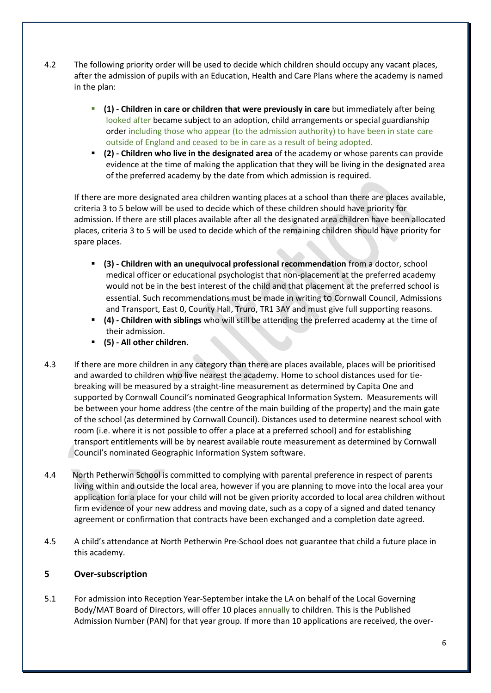- 4.2 The following priority order will be used to decide which children should occupy any vacant places, after the admission of pupils with an Education, Health and Care Plans where the academy is named in the plan:
	- **(1) - Children in care or children that were previously in care** but immediately after being looked after became subject to an adoption, child arrangements or special guardianship order including those who appear (to the admission authority) to have been in state care outside of England and ceased to be in care as a result of being adopted.
	- **(2) - Children who live in the designated area** of the academy or whose parents can provide evidence at the time of making the application that they will be living in the designated area of the preferred academy by the date from which admission is required.

If there are more designated area children wanting places at a school than there are places available, criteria 3 to 5 below will be used to decide which of these children should have priority for admission. If there are still places available after all the designated area children have been allocated places, criteria 3 to 5 will be used to decide which of the remaining children should have priority for spare places.

- **(3) - Children with an unequivocal professional recommendation** from a doctor, school medical officer or educational psychologist that non-placement at the preferred academy would not be in the best interest of the child and that placement at the preferred school is essential. Such recommendations must be made in writing to Cornwall Council, Admissions and Transport, East 0, County Hall, Truro, TR1 3AY and must give full supporting reasons.
- **(4) - Children with siblings** who will still be attending the preferred academy at the time of their admission.
- **(5) - All other children**.
- 4.3 If there are more children in any category than there are places available, places will be prioritised and awarded to children who live nearest the academy. Home to school distances used for tiebreaking will be measured by a straight-line measurement as determined by Capita One and supported by Cornwall Council's nominated Geographical Information System. Measurements will be between your home address (the centre of the main building of the property) and the main gate of the school (as determined by Cornwall Council). Distances used to determine nearest school with room (i.e. where it is not possible to offer a place at a preferred school) and for establishing transport entitlements will be by nearest available route measurement as determined by Cornwall Council's nominated Geographic Information System software.
- 4.4 North Petherwin School is committed to complying with parental preference in respect of parents living within and outside the local area, however if you are planning to move into the local area your application for a place for your child will not be given priority accorded to local area children without firm evidence of your new address and moving date, such as a copy of a signed and dated tenancy agreement or confirmation that contracts have been exchanged and a completion date agreed.
- 4.5 A child's attendance at North Petherwin Pre-School does not guarantee that child a future place in this academy.

#### **5 Over-subscription**

5.1 For admission into Reception Year-September intake the LA on behalf of the Local Governing Body/MAT Board of Directors, will offer 10 places annually to children. This is the Published Admission Number (PAN) for that year group. If more than 10 applications are received, the over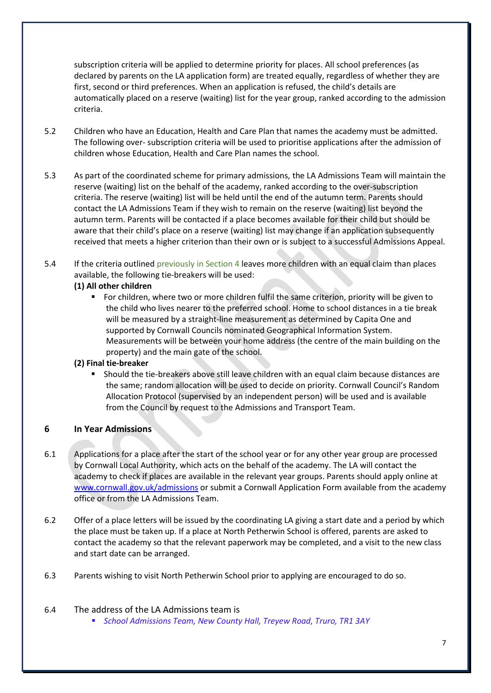subscription criteria will be applied to determine priority for places. All school preferences (as declared by parents on the LA application form) are treated equally, regardless of whether they are first, second or third preferences. When an application is refused, the child's details are automatically placed on a reserve (waiting) list for the year group, ranked according to the admission criteria.

- 5.2 Children who have an Education, Health and Care Plan that names the academy must be admitted. The following over- subscription criteria will be used to prioritise applications after the admission of children whose Education, Health and Care Plan names the school.
- 5.3 As part of the coordinated scheme for primary admissions, the LA Admissions Team will maintain the reserve (waiting) list on the behalf of the academy, ranked according to the over-subscription criteria. The reserve (waiting) list will be held until the end of the autumn term. Parents should contact the LA Admissions Team if they wish to remain on the reserve (waiting) list beyond the autumn term. Parents will be contacted if a place becomes available for their child but should be aware that their child's place on a reserve (waiting) list may change if an application subsequently received that meets a higher criterion than their own or is subject to a successful Admissions Appeal.
- 5.4 If the criteria outlined previously in Section 4 leaves more children with an equal claim than places available, the following tie-breakers will be used:

#### **(1) All other children**

 For children, where two or more children fulfil the same criterion, priority will be given to the child who lives nearer to the preferred school. Home to school distances in a tie break will be measured by a straight-line measurement as determined by Capita One and supported by Cornwall Councils nominated Geographical Information System. Measurements will be between your home address (the centre of the main building on the property) and the main gate of the school.

#### **(2) Final tie-breaker**

 Should the tie-breakers above still leave children with an equal claim because distances are the same; random allocation will be used to decide on priority. Cornwall Council's Random Allocation Protocol (supervised by an independent person) will be used and is available from the Council by request to the Admissions and Transport Team.

#### **6 In Year Admissions**

- 6.1 Applications for a place after the start of the school year or for any other year group are processed by Cornwall Local Authority, which acts on the behalf of the academy. The LA will contact the academy to check if places are available in the relevant year groups. Parents should apply online at [www.cornwall.gov.uk/admissions](http://www.cornwall.gov.uk/admissions) or submit a Cornwall Application Form available from the academy office or from the LA Admissions Team.
- 6.2 Offer of a place letters will be issued by the coordinating LA giving a start date and a period by which the place must be taken up. If a place at North Petherwin School is offered, parents are asked to contact the academy so that the relevant paperwork may be completed, and a visit to the new class and start date can be arranged.
- 6.3 Parents wishing to visit North Petherwin School prior to applying are encouraged to do so.

#### 6.4 The address of the LA Admissions team is

*School Admissions Team, New County Hall, Treyew Road, Truro, TR1 3AY*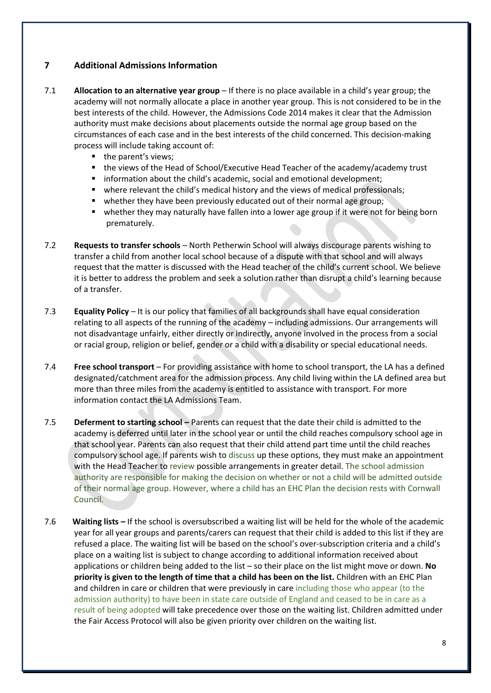#### **7 Additional Admissions Information**

- 7.1 **Allocation to an alternative year group** If there is no place available in a child's year group; the academy will not normally allocate a place in another year group. This is not considered to be in the best interests of the child. However, the Admissions Code 2014 makes it clear that the Admission authority must make decisions about placements outside the normal age group based on the circumstances of each case and in the best interests of the child concerned. This decision-making process will include taking account of:
	- the parent's views;
	- the views of the Head of School/Executive Head Teacher of the academy/academy trust
	- information about the child's academic, social and emotional development;
	- where relevant the child's medical history and the views of medical professionals;
	- **•** whether they have been previously educated out of their normal age group;
	- whether they may naturally have fallen into a lower age group if it were not for being born prematurely.
- 7.2 **Requests to transfer schools** North Petherwin School will always discourage parents wishing to transfer a child from another local school because of a dispute with that school and will always request that the matter is discussed with the Head teacher of the child's current school. We believe it is better to address the problem and seek a solution rather than disrupt a child's learning because of a transfer.
- 7.3 **Equality Policy** It is our policy that families of all backgrounds shall have equal consideration relating to all aspects of the running of the academy – including admissions. Our arrangements will not disadvantage unfairly, either directly or indirectly, anyone involved in the process from a social or racial group, religion or belief, gender or a child with a disability or special educational needs.
- 7.4 **Free school transport** For providing assistance with home to school transport, the LA has a defined designated/catchment area for the admission process. Any child living within the LA defined area but more than three miles from the academy is entitled to assistance with transport. For more information contact the LA Admissions Team.
- 7.5 **Deferment to starting school –** Parents can request that the date their child is admitted to the academy is deferred until later in the school year or until the child reaches compulsory school age in that school year. Parents can also request that their child attend part time until the child reaches compulsory school age. If parents wish to discuss up these options, they must make an appointment with the Head Teacher to review possible arrangements in greater detail. The school admission authority are responsible for making the decision on whether or not a child will be admitted outside of their normal age group. However, where a child has an EHC Plan the decision rests with Cornwall Council.
- 7.6 **Waiting lists –** If the school is oversubscribed a waiting list will be held for the whole of the academic year for all year groups and parents/carers can request that their child is added to this list if they are refused a place. The waiting list will be based on the school's over-subscription criteria and a child's place on a waiting list is subject to change according to additional information received about applications or children being added to the list – so their place on the list might move or down. **No priority is given to the length of time that a child has been on the list.** Children with an EHC Plan and children in care or children that were previously in care including those who appear (to the admission authority) to have been in state care outside of England and ceased to be in care as a result of being adopted will take precedence over those on the waiting list. Children admitted under the Fair Access Protocol will also be given priority over children on the waiting list.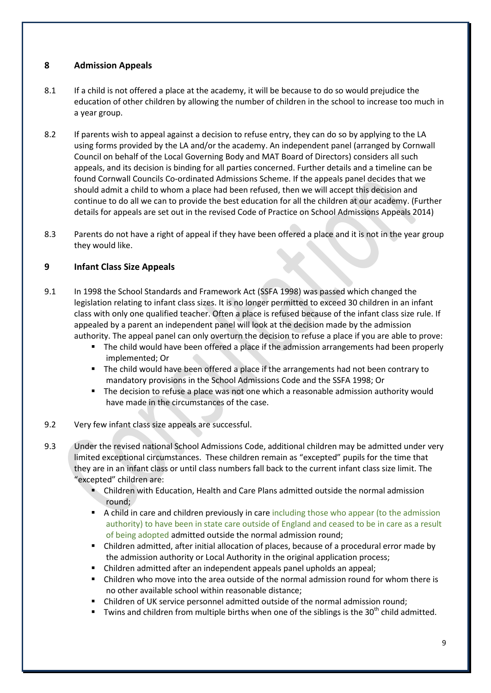#### **8 Admission Appeals**

- 8.1 If a child is not offered a place at the academy, it will be because to do so would prejudice the education of other children by allowing the number of children in the school to increase too much in a year group.
- 8.2 If parents wish to appeal against a decision to refuse entry, they can do so by applying to the LA using forms provided by the LA and/or the academy. An independent panel (arranged by Cornwall Council on behalf of the Local Governing Body and MAT Board of Directors) considers all such appeals, and its decision is binding for all parties concerned. Further details and a timeline can be found Cornwall Councils Co-ordinated Admissions Scheme. If the appeals panel decides that we should admit a child to whom a place had been refused, then we will accept this decision and continue to do all we can to provide the best education for all the children at our academy. (Further details for appeals are set out in the revised Code of Practice on School Admissions Appeals 2014)
- 8.3 Parents do not have a right of appeal if they have been offered a place and it is not in the year group they would like.

#### **9 Infant Class Size Appeals**

- 9.1 In 1998 the School Standards and Framework Act (SSFA 1998) was passed which changed the legislation relating to infant class sizes. It is no longer permitted to exceed 30 children in an infant class with only one qualified teacher. Often a place is refused because of the infant class size rule. If appealed by a parent an independent panel will look at the decision made by the admission authority. The appeal panel can only overturn the decision to refuse a place if you are able to prove:
	- The child would have been offered a place if the admission arrangements had been properly implemented; Or
	- The child would have been offered a place if the arrangements had not been contrary to mandatory provisions in the School Admissions Code and the SSFA 1998; Or
	- The decision to refuse a place was not one which a reasonable admission authority would have made in the circumstances of the case.
- 9.2 Very few infant class size appeals are successful.
- 9.3 Under the revised national School Admissions Code, additional children may be admitted under very limited exceptional circumstances. These children remain as "excepted" pupils for the time that they are in an infant class or until class numbers fall back to the current infant class size limit. The "excepted" children are:
	- Children with Education, Health and Care Plans admitted outside the normal admission round;
	- A child in care and children previously in care including those who appear (to the admission authority) to have been in state care outside of England and ceased to be in care as a result of being adopted admitted outside the normal admission round;
	- Children admitted, after initial allocation of places, because of a procedural error made by the admission authority or Local Authority in the original application process;
	- Children admitted after an independent appeals panel upholds an appeal;
	- Children who move into the area outside of the normal admission round for whom there is no other available school within reasonable distance;
	- Children of UK service personnel admitted outside of the normal admission round;
	- Twins and children from multiple births when one of the siblings is the  $30<sup>th</sup>$  child admitted.